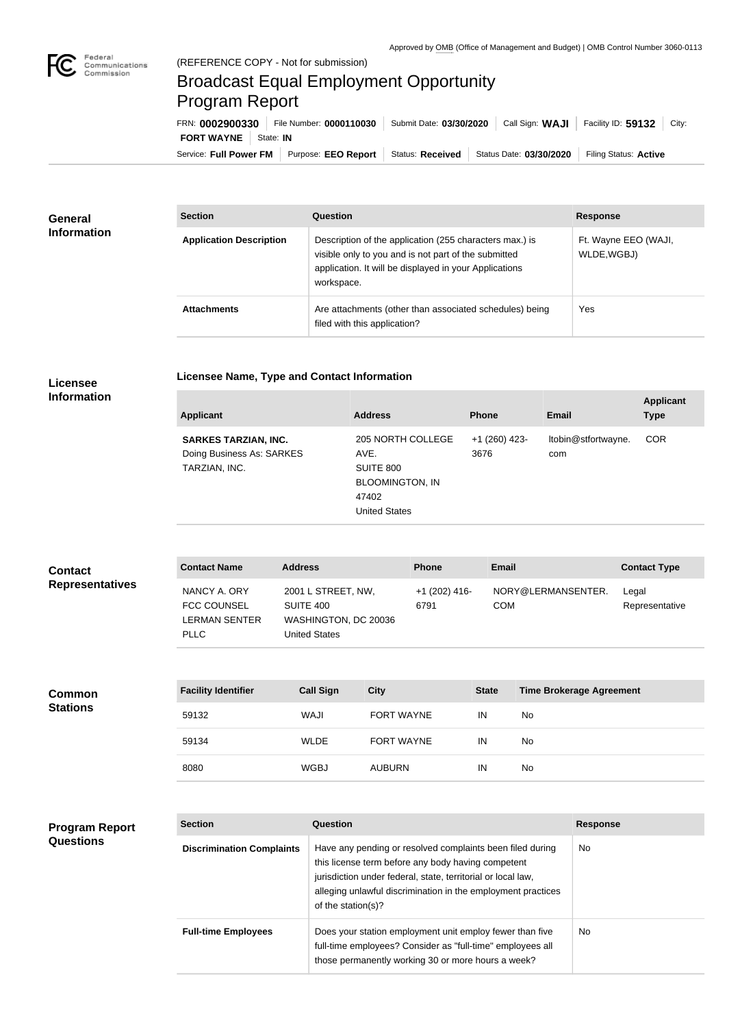

п

## Broadcast Equal Employment Opportunity Program Report

**Licensee Name, Type and Contact Information**

Service: Full Power FM Purpose: EEO Report | Status: Received | Status Date: 03/30/2020 | Filing Status: Active **FORT WAYNE** | State: IN FRN: **0002900330** File Number: **0000110030** Submit Date: **03/30/2020** Call Sign: **WAJI** Facility ID: **59132** City:

| <b>General</b><br><b>Information</b> | <b>Section</b>                 | <b>Question</b>                                                                                                                                                                         | <b>Response</b>                     |
|--------------------------------------|--------------------------------|-----------------------------------------------------------------------------------------------------------------------------------------------------------------------------------------|-------------------------------------|
|                                      | <b>Application Description</b> | Description of the application (255 characters max.) is<br>visible only to you and is not part of the submitted<br>application. It will be displayed in your Applications<br>workspace. | Ft. Wayne EEO (WAJI,<br>WLDE, WGBJ) |
|                                      | <b>Attachments</b>             | Are attachments (other than associated schedules) being<br>filed with this application?                                                                                                 | Yes                                 |

## **Licensee Information**

| <b>Applicant</b>                                                          | <b>Address</b>                                                                                    | <b>Phone</b>            | Email                      | <b>Applicant</b><br><b>Type</b> |
|---------------------------------------------------------------------------|---------------------------------------------------------------------------------------------------|-------------------------|----------------------------|---------------------------------|
| <b>SARKES TARZIAN, INC.</b><br>Doing Business As: SARKES<br>TARZIAN, INC. | 205 NORTH COLLEGE<br>AVE.<br>SUITE 800<br><b>BLOOMINGTON, IN</b><br>47402<br><b>United States</b> | $+1$ (260) 423-<br>3676 | Itobin@stfortwayne.<br>com | <b>COR</b>                      |

| <b>Contact</b>         | <b>Contact Name</b>                                                       | <b>Address</b>                                                                  | <b>Phone</b>           | Email                            | <b>Contact Type</b>     |
|------------------------|---------------------------------------------------------------------------|---------------------------------------------------------------------------------|------------------------|----------------------------------|-------------------------|
| <b>Representatives</b> | NANCY A. ORY<br><b>FCC COUNSEL</b><br><b>LERMAN SENTER</b><br><b>PLLC</b> | 2001 L STREET, NW,<br>SUITE 400<br>WASHINGTON, DC 20036<br><b>United States</b> | $+1(202)$ 416-<br>6791 | NORY@LERMANSENTER.<br><b>COM</b> | Legal<br>Representative |

| <b>Common</b>   | <b>Facility Identifier</b> | <b>Call Sign</b> | <b>City</b>       | <b>State</b> | <b>Time Brokerage Agreement</b> |
|-----------------|----------------------------|------------------|-------------------|--------------|---------------------------------|
| <b>Stations</b> | 59132                      | WAJI             | <b>FORT WAYNE</b> | IN           | No                              |
|                 | 59134                      | <b>WLDE</b>      | <b>FORT WAYNE</b> | IN           | No                              |
|                 | 8080                       | <b>WGBJ</b>      | <b>AUBURN</b>     | IN           | No                              |

| <b>Program Report</b> |
|-----------------------|
| <b>Questions</b>      |

| <b>Section</b>                   | Question                                                                                                                                                                                                                                                              | <b>Response</b> |
|----------------------------------|-----------------------------------------------------------------------------------------------------------------------------------------------------------------------------------------------------------------------------------------------------------------------|-----------------|
| <b>Discrimination Complaints</b> | Have any pending or resolved complaints been filed during<br>this license term before any body having competent<br>jurisdiction under federal, state, territorial or local law,<br>alleging unlawful discrimination in the employment practices<br>of the station(s)? | No.             |
| <b>Full-time Employees</b>       | Does your station employment unit employ fewer than five<br>full-time employees? Consider as "full-time" employees all<br>those permanently working 30 or more hours a week?                                                                                          | No.             |